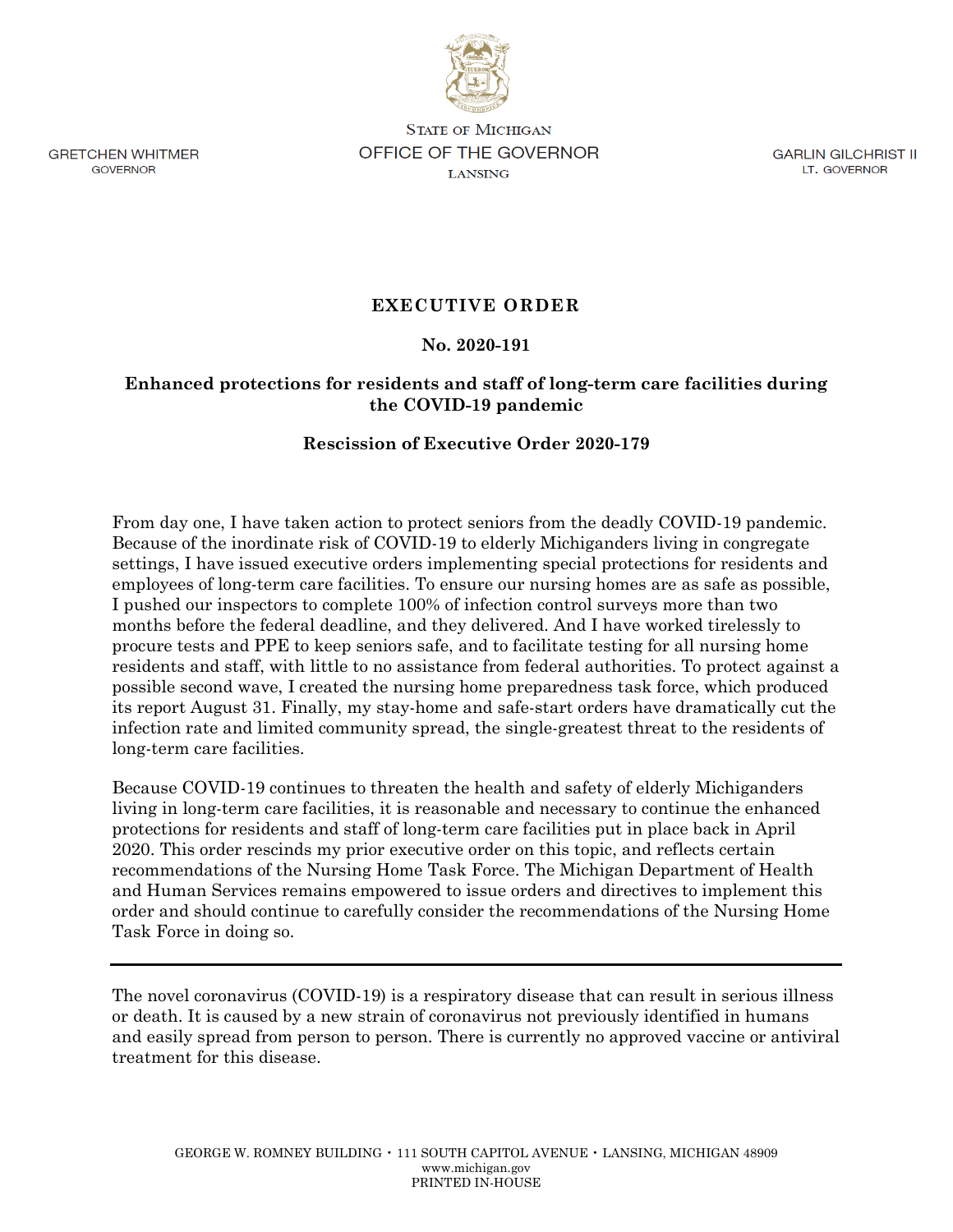**GRETCHEN WHITMER** GOVERNOR

**STATE OF MICHIGAN OFFICE OF THE GOVERNOR LANSING** 

GARLIN GILCHRIST II LT. GOVERNOR

# **EXECUTIVE ORDER**

## **No. 2020-191**

## **Enhanced protections for residents and staff of long-term care facilities during the COVID-19 pandemic**

## **Rescission of Executive Order 2020-179**

From day one, I have taken action to protect seniors from the deadly COVID-19 pandemic. Because of the inordinate risk of COVID-19 to elderly Michiganders living in congregate settings, I have issued executive orders implementing special protections for residents and employees of long-term care facilities. To ensure our nursing homes are as safe as possible, I pushed our inspectors to complete 100% of infection control surveys more than two months before the federal deadline, and they delivered. And I have worked tirelessly to procure tests and PPE to keep seniors safe, and to facilitate testing for all nursing home residents and staff, with little to no assistance from federal authorities. To protect against a possible second wave, I created the nursing home preparedness task force, which produced its report August 31. Finally, my stay-home and safe-start orders have dramatically cut the infection rate and limited community spread, the single-greatest threat to the residents of long-term care facilities.

Because COVID-19 continues to threaten the health and safety of elderly Michiganders living in long-term care facilities, it is reasonable and necessary to continue the enhanced protections for residents and staff of long-term care facilities put in place back in April 2020. This order rescinds my prior executive order on this topic, and reflects certain recommendations of the Nursing Home Task Force. The Michigan Department of Health and Human Services remains empowered to issue orders and directives to implement this order and should continue to carefully consider the recommendations of the Nursing Home Task Force in doing so.

The novel coronavirus (COVID-19) is a respiratory disease that can result in serious illness or death. It is caused by a new strain of coronavirus not previously identified in humans and easily spread from person to person. There is currently no approved vaccine or antiviral treatment for this disease.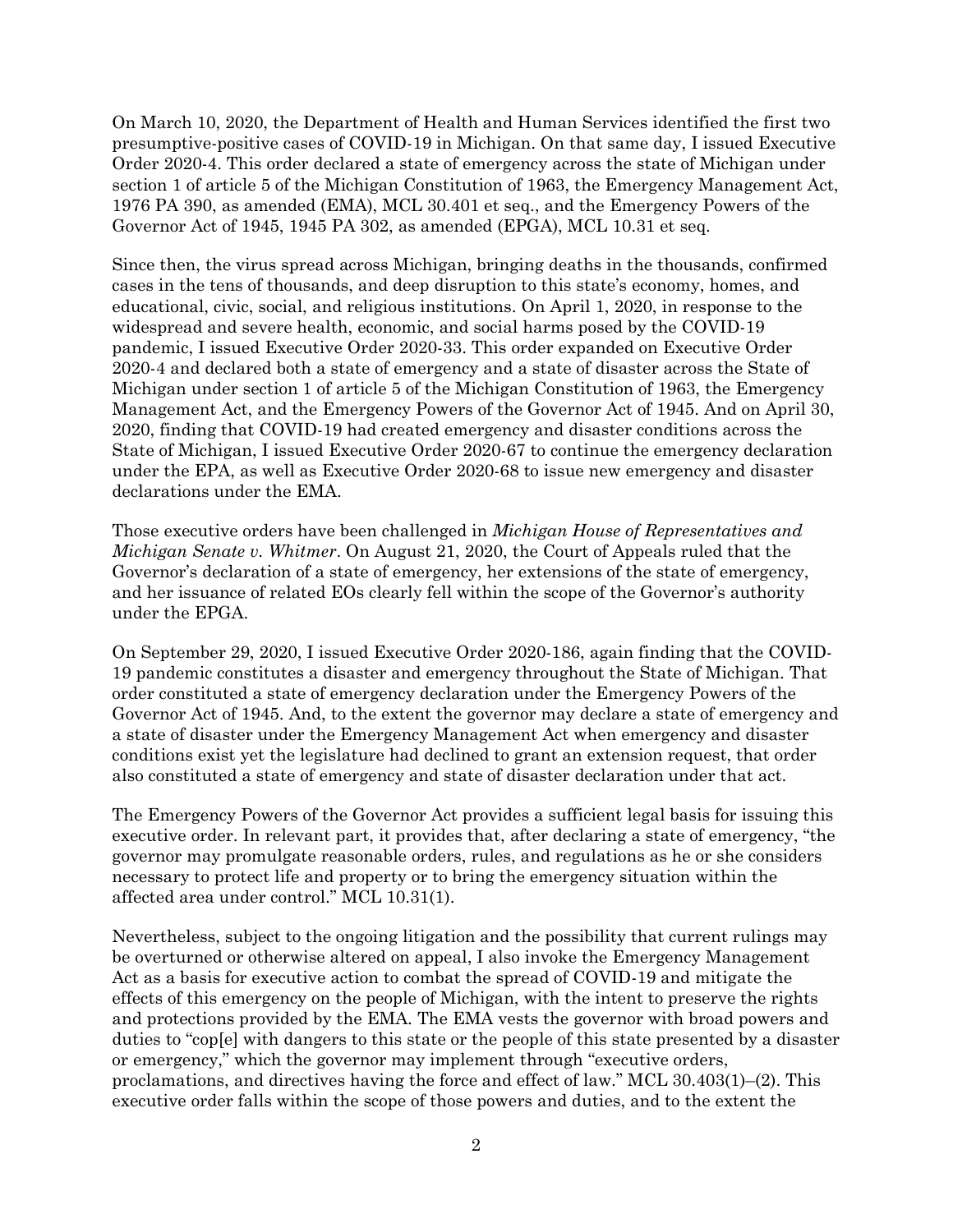On March 10, 2020, the Department of Health and Human Services identified the first two presumptive-positive cases of COVID-19 in Michigan. On that same day, I issued Executive Order 2020-4. This order declared a state of emergency across the state of Michigan under section 1 of article 5 of the Michigan Constitution of 1963, the Emergency Management Act, 1976 PA 390, as amended (EMA), MCL 30.401 et seq., and the Emergency Powers of the Governor Act of 1945, 1945 PA 302, as amended (EPGA), MCL 10.31 et seq.

Since then, the virus spread across Michigan, bringing deaths in the thousands, confirmed cases in the tens of thousands, and deep disruption to this state's economy, homes, and educational, civic, social, and religious institutions. On April 1, 2020, in response to the widespread and severe health, economic, and social harms posed by the COVID-19 pandemic, I issued Executive Order 2020-33. This order expanded on Executive Order 2020-4 and declared both a state of emergency and a state of disaster across the State of Michigan under section 1 of article 5 of the Michigan Constitution of 1963, the Emergency Management Act, and the Emergency Powers of the Governor Act of 1945. And on April 30, 2020, finding that COVID-19 had created emergency and disaster conditions across the State of Michigan, I issued Executive Order 2020-67 to continue the emergency declaration under the EPA, as well as Executive Order 2020-68 to issue new emergency and disaster declarations under the EMA.

Those executive orders have been challenged in *Michigan House of Representatives and Michigan Senate v. Whitmer*. On August 21, 2020, the Court of Appeals ruled that the Governor's declaration of a state of emergency, her extensions of the state of emergency, and her issuance of related EOs clearly fell within the scope of the Governor's authority under the EPGA.

On September 29, 2020, I issued Executive Order 2020-186, again finding that the COVID-19 pandemic constitutes a disaster and emergency throughout the State of Michigan. That order constituted a state of emergency declaration under the Emergency Powers of the Governor Act of 1945. And, to the extent the governor may declare a state of emergency and a state of disaster under the Emergency Management Act when emergency and disaster conditions exist yet the legislature had declined to grant an extension request, that order also constituted a state of emergency and state of disaster declaration under that act.

The Emergency Powers of the Governor Act provides a sufficient legal basis for issuing this executive order. In relevant part, it provides that, after declaring a state of emergency, "the governor may promulgate reasonable orders, rules, and regulations as he or she considers necessary to protect life and property or to bring the emergency situation within the affected area under control." MCL 10.31(1).

Nevertheless, subject to the ongoing litigation and the possibility that current rulings may be overturned or otherwise altered on appeal, I also invoke the Emergency Management Act as a basis for executive action to combat the spread of COVID-19 and mitigate the effects of this emergency on the people of Michigan, with the intent to preserve the rights and protections provided by the EMA. The EMA vests the governor with broad powers and duties to "cop[e] with dangers to this state or the people of this state presented by a disaster or emergency," which the governor may implement through "executive orders, proclamations, and directives having the force and effect of law." MCL 30.403(1)–(2). This executive order falls within the scope of those powers and duties, and to the extent the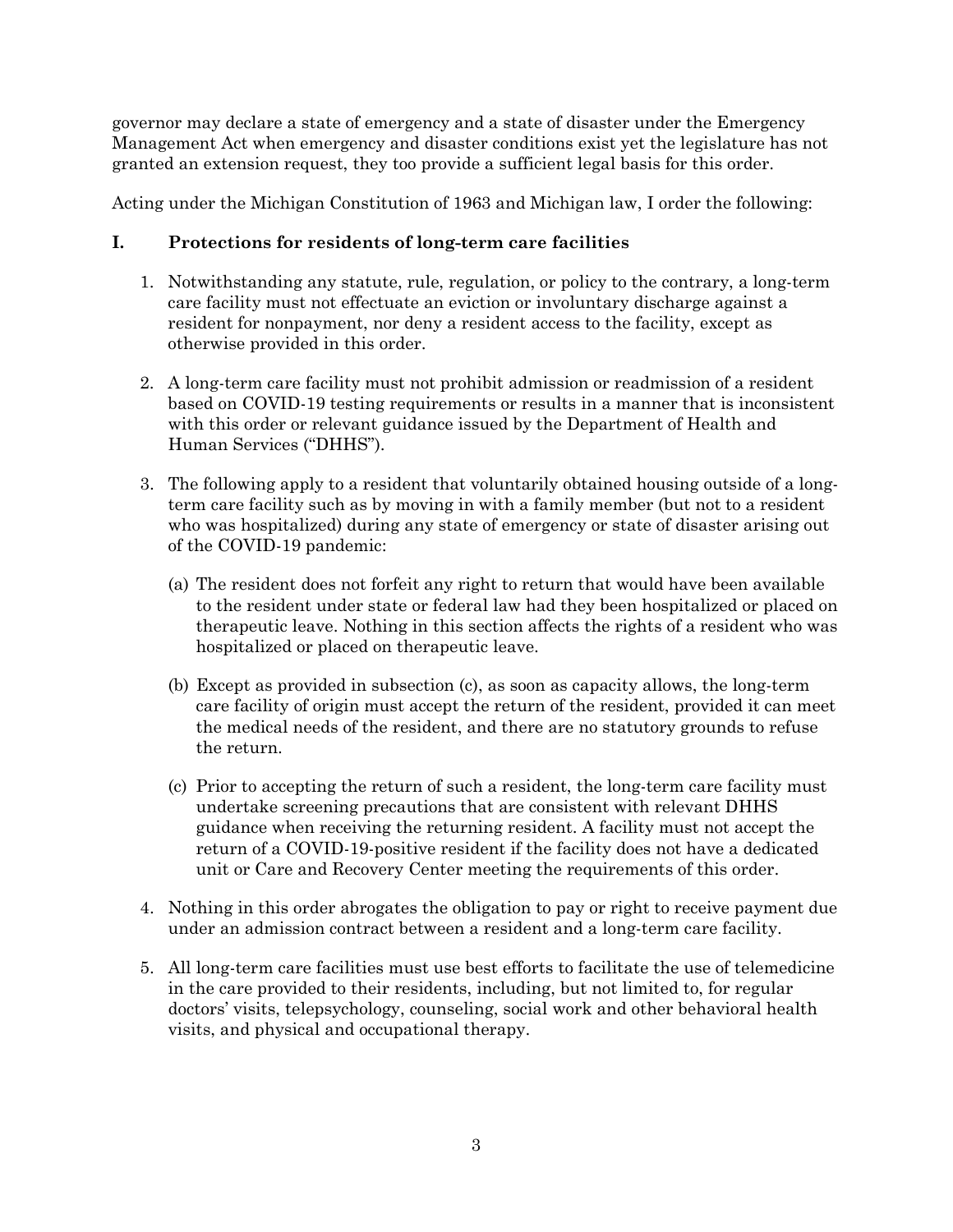governor may declare a state of emergency and a state of disaster under the Emergency Management Act when emergency and disaster conditions exist yet the legislature has not granted an extension request, they too provide a sufficient legal basis for this order.

Acting under the Michigan Constitution of 1963 and Michigan law, I order the following:

## **I. Protections for residents of long-term care facilities**

- 1. Notwithstanding any statute, rule, regulation, or policy to the contrary, a long-term care facility must not effectuate an eviction or involuntary discharge against a resident for nonpayment, nor deny a resident access to the facility, except as otherwise provided in this order.
- 2. A long-term care facility must not prohibit admission or readmission of a resident based on COVID-19 testing requirements or results in a manner that is inconsistent with this order or relevant guidance issued by the Department of Health and Human Services ("DHHS").
- 3. The following apply to a resident that voluntarily obtained housing outside of a longterm care facility such as by moving in with a family member (but not to a resident who was hospitalized) during any state of emergency or state of disaster arising out of the COVID-19 pandemic:
	- (a) The resident does not forfeit any right to return that would have been available to the resident under state or federal law had they been hospitalized or placed on therapeutic leave. Nothing in this section affects the rights of a resident who was hospitalized or placed on therapeutic leave.
	- (b) Except as provided in subsection (c), as soon as capacity allows, the long-term care facility of origin must accept the return of the resident, provided it can meet the medical needs of the resident, and there are no statutory grounds to refuse the return.
	- (c) Prior to accepting the return of such a resident, the long-term care facility must undertake screening precautions that are consistent with relevant DHHS guidance when receiving the returning resident. A facility must not accept the return of a COVID-19-positive resident if the facility does not have a dedicated unit or Care and Recovery Center meeting the requirements of this order.
- 4. Nothing in this order abrogates the obligation to pay or right to receive payment due under an admission contract between a resident and a long-term care facility.
- 5. All long-term care facilities must use best efforts to facilitate the use of telemedicine in the care provided to their residents, including, but not limited to, for regular doctors' visits, telepsychology, counseling, social work and other behavioral health visits, and physical and occupational therapy.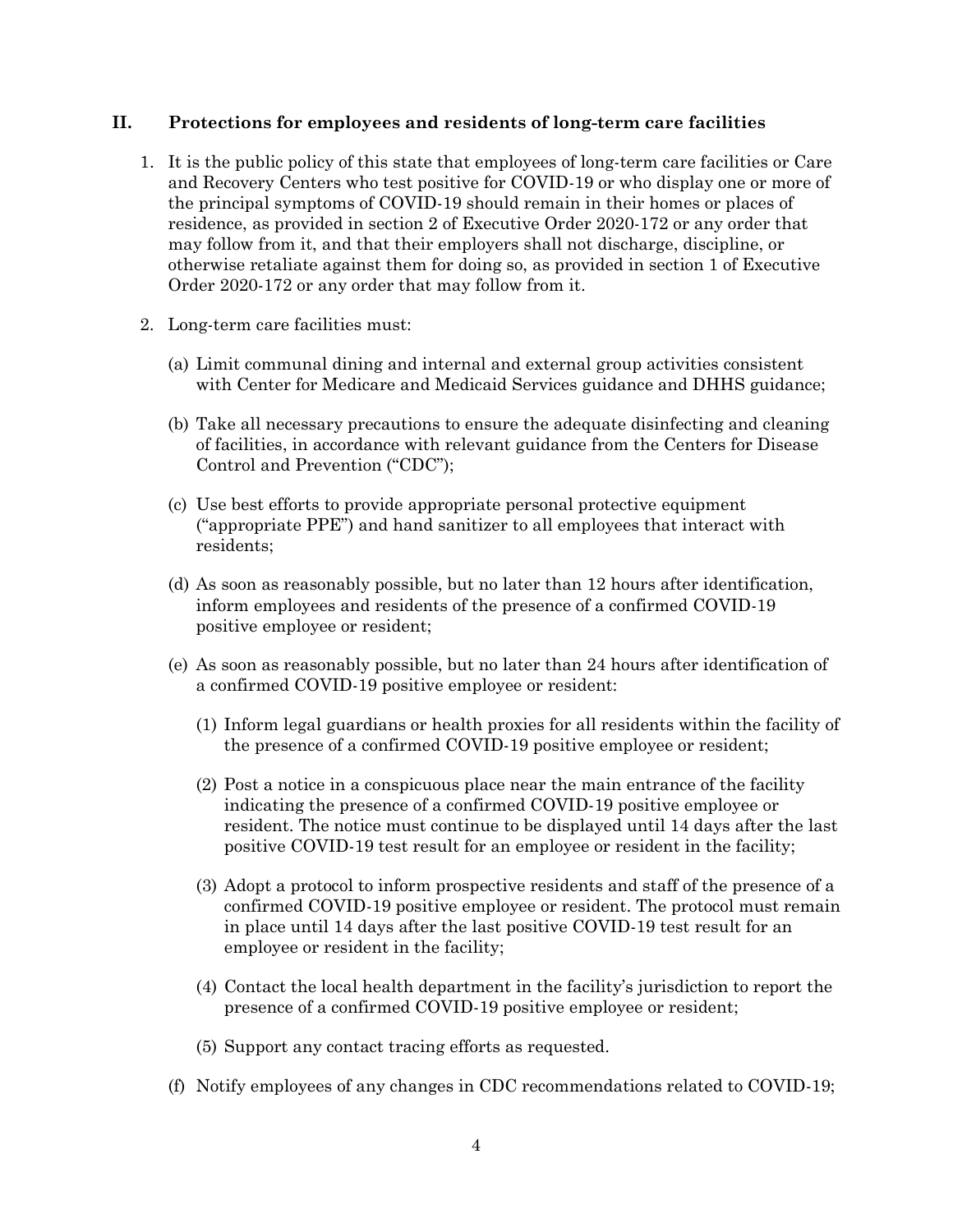### **II. Protections for employees and residents of long-term care facilities**

- 1. It is the public policy of this state that employees of long-term care facilities or Care and Recovery Centers who test positive for COVID-19 or who display one or more of the principal symptoms of COVID-19 should remain in their homes or places of residence, as provided in section 2 of Executive Order 2020-172 or any order that may follow from it, and that their employers shall not discharge, discipline, or otherwise retaliate against them for doing so, as provided in section 1 of Executive Order 2020-172 or any order that may follow from it.
- 2. Long-term care facilities must:
	- (a) Limit communal dining and internal and external group activities consistent with Center for Medicare and Medicaid Services guidance and DHHS guidance;
	- (b) Take all necessary precautions to ensure the adequate disinfecting and cleaning of facilities, in accordance with relevant guidance from the Centers for Disease Control and Prevention ("CDC");
	- (c) Use best efforts to provide appropriate personal protective equipment ("appropriate PPE") and hand sanitizer to all employees that interact with residents;
	- (d) As soon as reasonably possible, but no later than 12 hours after identification, inform employees and residents of the presence of a confirmed COVID-19 positive employee or resident;
	- (e) As soon as reasonably possible, but no later than 24 hours after identification of a confirmed COVID-19 positive employee or resident:
		- (1) Inform legal guardians or health proxies for all residents within the facility of the presence of a confirmed COVID-19 positive employee or resident;
		- (2) Post a notice in a conspicuous place near the main entrance of the facility indicating the presence of a confirmed COVID-19 positive employee or resident. The notice must continue to be displayed until 14 days after the last positive COVID-19 test result for an employee or resident in the facility;
		- (3) Adopt a protocol to inform prospective residents and staff of the presence of a confirmed COVID-19 positive employee or resident. The protocol must remain in place until 14 days after the last positive COVID-19 test result for an employee or resident in the facility;
		- (4) Contact the local health department in the facility's jurisdiction to report the presence of a confirmed COVID-19 positive employee or resident;
		- (5) Support any contact tracing efforts as requested.
	- (f) Notify employees of any changes in CDC recommendations related to COVID-19;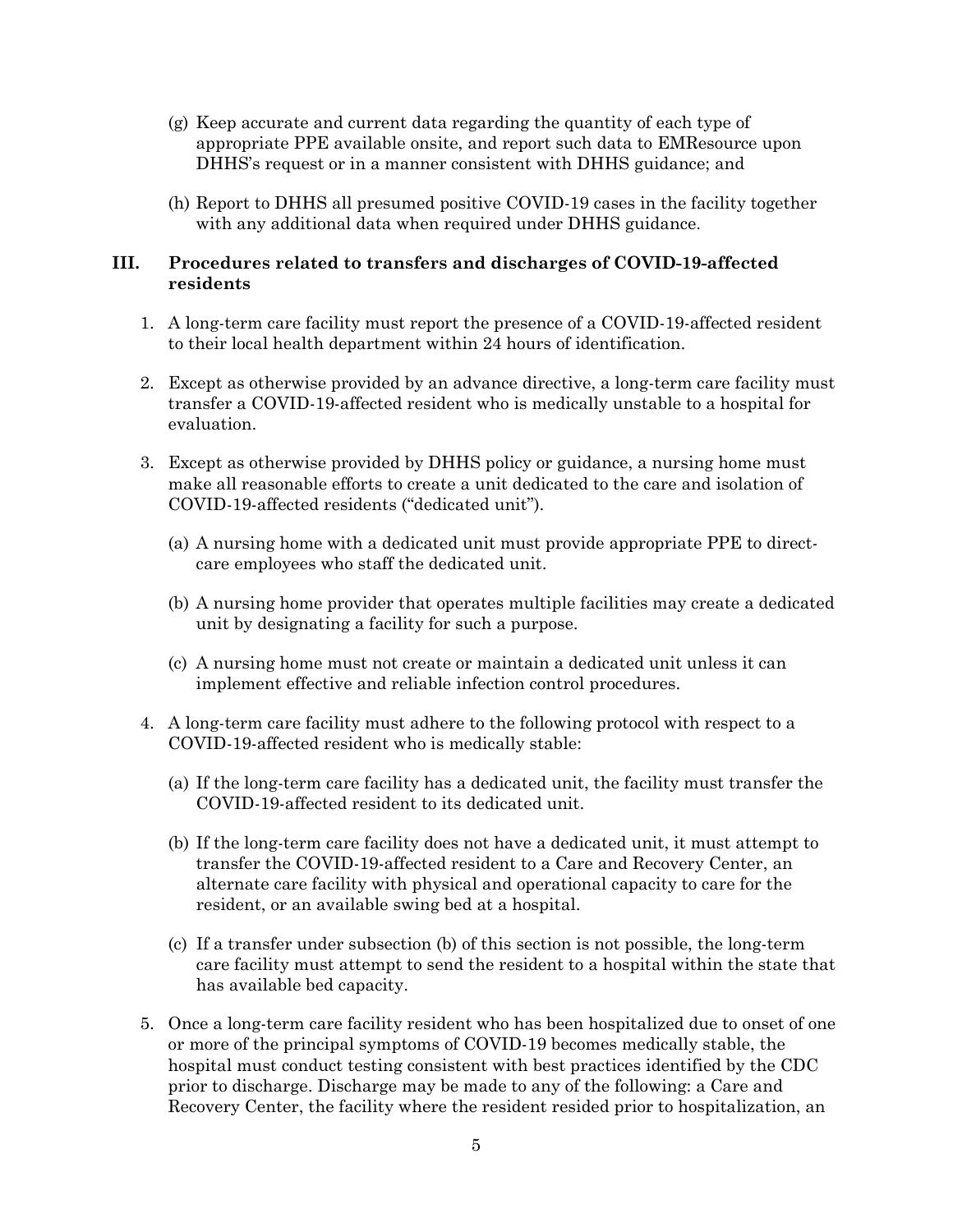- (g) Keep accurate and current data regarding the quantity of each type of appropriate PPE available onsite, and report such data to EMResource upon DHHS's request or in a manner consistent with DHHS guidance; and
- (h) Report to DHHS all presumed positive COVID-19 cases in the facility together with any additional data when required under DHHS guidance.

### **III. Procedures related to transfers and discharges of COVID-19-affected residents**

- 1. A long-term care facility must report the presence of a COVID-19-affected resident to their local health department within 24 hours of identification.
- 2. Except as otherwise provided by an advance directive, a long-term care facility must transfer a COVID-19-affected resident who is medically unstable to a hospital for evaluation.
- 3. Except as otherwise provided by DHHS policy or guidance, a nursing home must make all reasonable efforts to create a unit dedicated to the care and isolation of COVID-19-affected residents ("dedicated unit").
	- (a) A nursing home with a dedicated unit must provide appropriate PPE to directcare employees who staff the dedicated unit.
	- (b) A nursing home provider that operates multiple facilities may create a dedicated unit by designating a facility for such a purpose.
	- (c) A nursing home must not create or maintain a dedicated unit unless it can implement effective and reliable infection control procedures.
- 4. A long-term care facility must adhere to the following protocol with respect to a COVID-19-affected resident who is medically stable:
	- (a) If the long-term care facility has a dedicated unit, the facility must transfer the COVID-19-affected resident to its dedicated unit.
	- (b) If the long-term care facility does not have a dedicated unit, it must attempt to transfer the COVID-19-affected resident to a Care and Recovery Center, an alternate care facility with physical and operational capacity to care for the resident, or an available swing bed at a hospital.
	- (c) If a transfer under subsection (b) of this section is not possible, the long-term care facility must attempt to send the resident to a hospital within the state that has available bed capacity.
- 5. Once a long-term care facility resident who has been hospitalized due to onset of one or more of the principal symptoms of COVID-19 becomes medically stable, the hospital must conduct testing consistent with best practices identified by the CDC prior to discharge. Discharge may be made to any of the following: a Care and Recovery Center, the facility where the resident resided prior to hospitalization, an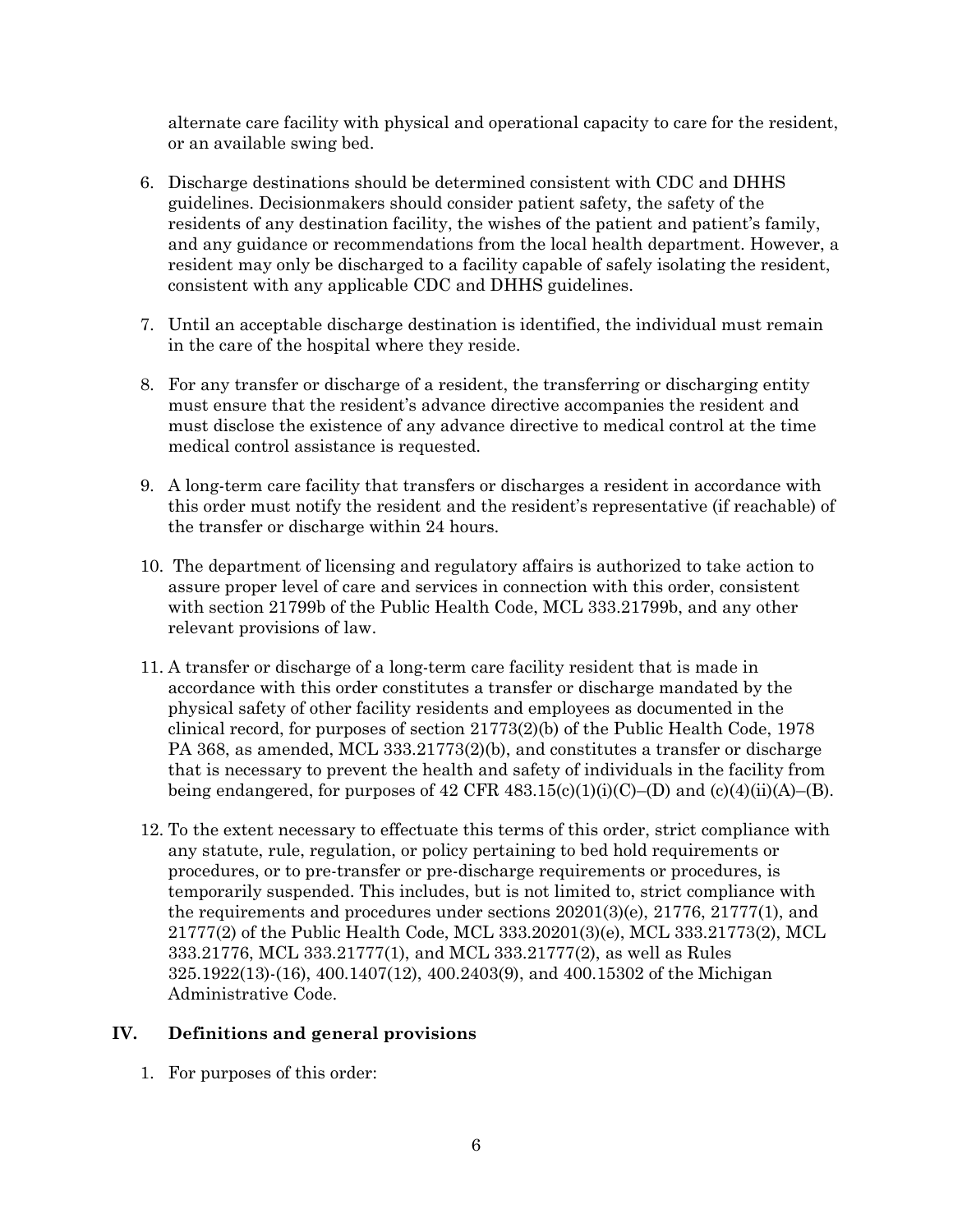alternate care facility with physical and operational capacity to care for the resident, or an available swing bed.

- 6. Discharge destinations should be determined consistent with CDC and DHHS guidelines. Decisionmakers should consider patient safety, the safety of the residents of any destination facility, the wishes of the patient and patient's family, and any guidance or recommendations from the local health department. However, a resident may only be discharged to a facility capable of safely isolating the resident, consistent with any applicable CDC and DHHS guidelines.
- 7. Until an acceptable discharge destination is identified, the individual must remain in the care of the hospital where they reside.
- 8. For any transfer or discharge of a resident, the transferring or discharging entity must ensure that the resident's advance directive accompanies the resident and must disclose the existence of any advance directive to medical control at the time medical control assistance is requested.
- 9. A long-term care facility that transfers or discharges a resident in accordance with this order must notify the resident and the resident's representative (if reachable) of the transfer or discharge within 24 hours.
- 10. The department of licensing and regulatory affairs is authorized to take action to assure proper level of care and services in connection with this order, consistent with section 21799b of the Public Health Code, MCL 333.21799b, and any other relevant provisions of law.
- 11. A transfer or discharge of a long-term care facility resident that is made in accordance with this order constitutes a transfer or discharge mandated by the physical safety of other facility residents and employees as documented in the clinical record, for purposes of section 21773(2)(b) of the Public Health Code, 1978 PA 368, as amended, MCL 333.21773(2)(b), and constitutes a transfer or discharge that is necessary to prevent the health and safety of individuals in the facility from being endangered, for purposes of 42 CFR 483.15(c)(1)(i)(C)–(D) and (c)(4)(ii)(A)–(B).
- 12. To the extent necessary to effectuate this terms of this order, strict compliance with any statute, rule, regulation, or policy pertaining to bed hold requirements or procedures, or to pre-transfer or pre-discharge requirements or procedures, is temporarily suspended. This includes, but is not limited to, strict compliance with the requirements and procedures under sections 20201(3)(e), 21776, 21777(1), and 21777(2) of the Public Health Code, MCL 333.20201(3)(e), MCL 333.21773(2), MCL 333.21776, MCL 333.21777(1), and MCL 333.21777(2), as well as Rules 325.1922(13)-(16), 400.1407(12), 400.2403(9), and 400.15302 of the Michigan Administrative Code.

### **IV. Definitions and general provisions**

1. For purposes of this order: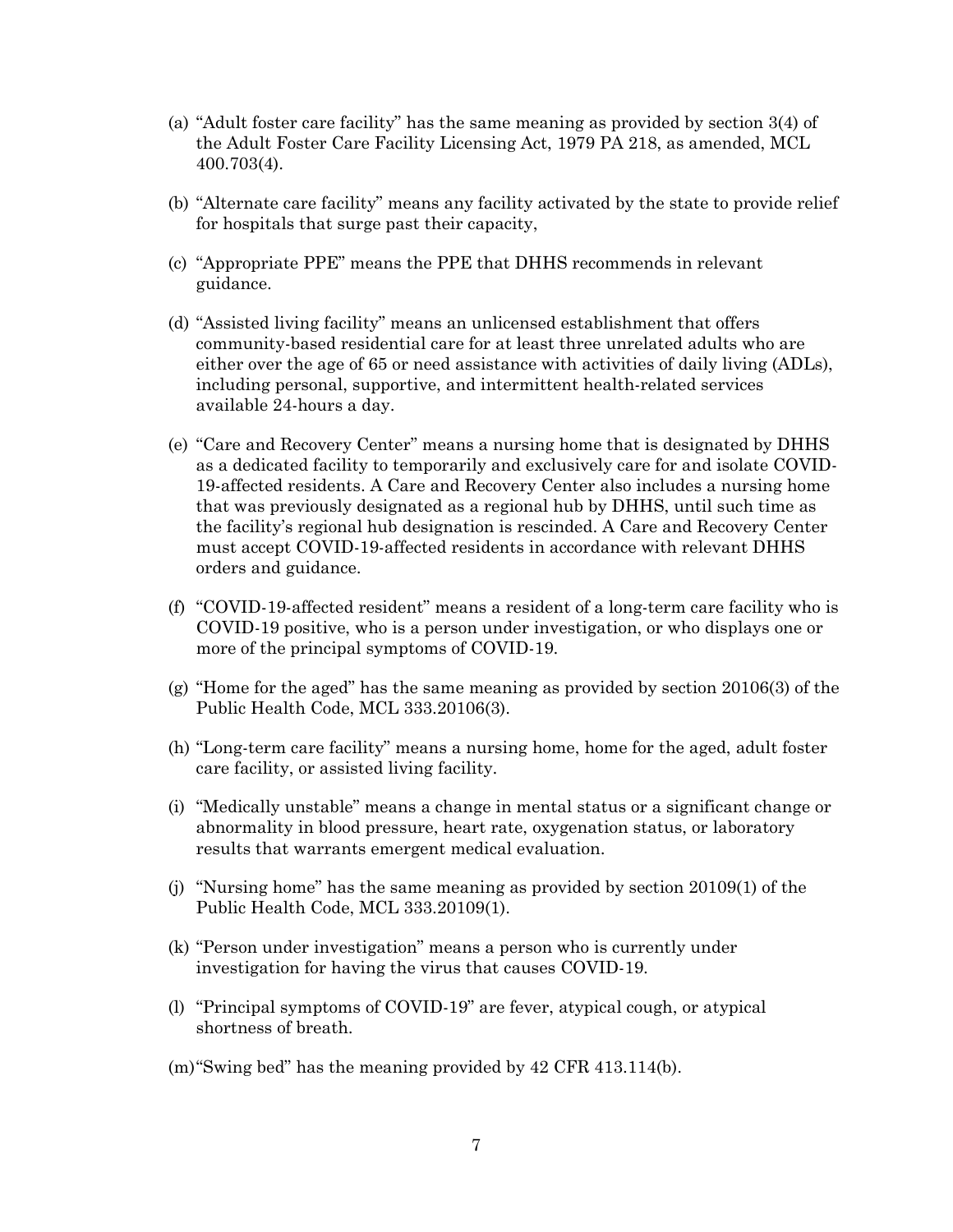- (a) "Adult foster care facility" has the same meaning as provided by section 3(4) of the Adult Foster Care Facility Licensing Act, 1979 PA 218, as amended, MCL 400.703(4).
- (b) "Alternate care facility" means any facility activated by the state to provide relief for hospitals that surge past their capacity,
- (c) "Appropriate PPE" means the PPE that DHHS recommends in relevant guidance.
- (d) "Assisted living facility" means an unlicensed establishment that offers community-based residential care for at least three unrelated adults who are either over the age of 65 or need assistance with activities of daily living (ADLs), including personal, supportive, and intermittent health-related services available 24-hours a day.
- (e) "Care and Recovery Center" means a nursing home that is designated by DHHS as a dedicated facility to temporarily and exclusively care for and isolate COVID-19-affected residents. A Care and Recovery Center also includes a nursing home that was previously designated as a regional hub by DHHS, until such time as the facility's regional hub designation is rescinded. A Care and Recovery Center must accept COVID-19-affected residents in accordance with relevant DHHS orders and guidance.
- (f) "COVID-19-affected resident" means a resident of a long-term care facility who is COVID-19 positive, who is a person under investigation, or who displays one or more of the principal symptoms of COVID-19.
- (g) "Home for the aged" has the same meaning as provided by section 20106(3) of the Public Health Code, MCL 333.20106(3).
- (h) "Long-term care facility" means a nursing home, home for the aged, adult foster care facility, or assisted living facility.
- (i) "Medically unstable" means a change in mental status or a significant change or abnormality in blood pressure, heart rate, oxygenation status, or laboratory results that warrants emergent medical evaluation.
- (j) "Nursing home" has the same meaning as provided by section 20109(1) of the Public Health Code, MCL 333.20109(1).
- (k) "Person under investigation" means a person who is currently under investigation for having the virus that causes COVID-19.
- (l) "Principal symptoms of COVID-19" are fever, atypical cough, or atypical shortness of breath.
- (m)"Swing bed" has the meaning provided by 42 CFR 413.114(b).